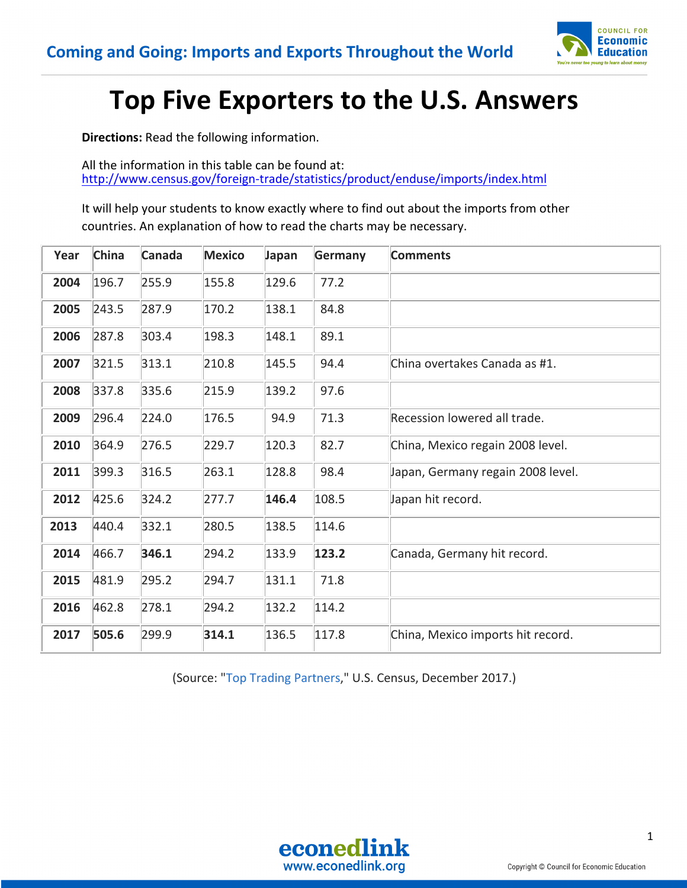

## **Top Five Exporters to the U.S. Answers**

**Directions:** Read the following information.

All the information in this table can be found at: http://www.census.gov/foreign-trade/statistics/product/enduse/imports/index.html

It will help your students to know exactly where to find out about the imports from other countries. An explanation of how to read the charts may be necessary.

| Year | <b>China</b> | Canada | <b>Mexico</b> | Japan | Germany | <b>Comments</b>                   |
|------|--------------|--------|---------------|-------|---------|-----------------------------------|
| 2004 | 196.7        | 255.9  | 155.8         | 129.6 | 77.2    |                                   |
| 2005 | 243.5        | 287.9  | 170.2         | 138.1 | 84.8    |                                   |
| 2006 | 287.8        | 303.4  | 198.3         | 148.1 | 89.1    |                                   |
| 2007 | 321.5        | 313.1  | 210.8         | 145.5 | 94.4    | China overtakes Canada as #1.     |
| 2008 | 337.8        | 335.6  | 215.9         | 139.2 | 97.6    |                                   |
| 2009 | 296.4        | 224.0  | 176.5         | 94.9  | 71.3    | Recession lowered all trade.      |
| 2010 | 364.9        | 276.5  | 229.7         | 120.3 | 82.7    | China, Mexico regain 2008 level.  |
| 2011 | 399.3        | 316.5  | 263.1         | 128.8 | 98.4    | Japan, Germany regain 2008 level. |
| 2012 | 425.6        | 324.2  | 277.7         | 146.4 | 108.5   | Japan hit record.                 |
| 2013 | 440.4        | 332.1  | 280.5         | 138.5 | 114.6   |                                   |
| 2014 | 466.7        | 346.1  | 294.2         | 133.9 | 123.2   | Canada, Germany hit record.       |
| 2015 | 481.9        | 295.2  | 294.7         | 131.1 | 71.8    |                                   |
| 2016 | 462.8        | 278.1  | 294.2         | 132.2 | 114.2   |                                   |
| 2017 | 505.6        | 299.9  | 314.1         | 136.5 | 117.8   | China, Mexico imports hit record. |

(Source: "Top Trading Partners," U.S. Census, December 2017.)

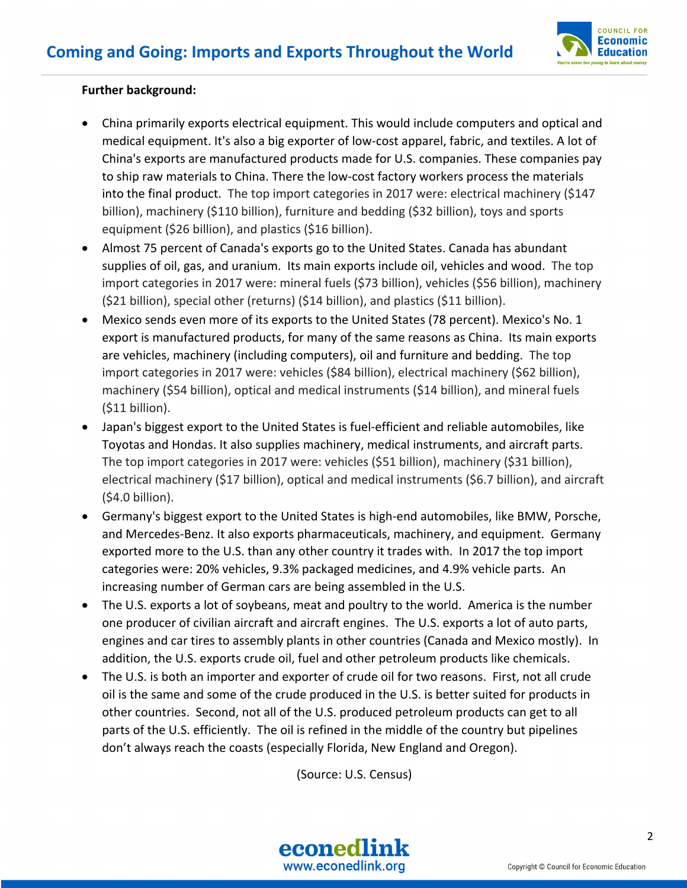

## **Further background:**

- China primarily exports electrical equipment. This would include computers and optical and medical equipment. It's also a big exporter of low-cost apparel, fabric, and textiles. A lot of China's exports are manufactured products made for U.S. companies. These companies pay to ship raw materials to China. There the low-cost factory workers process the materials into the final product. The top import categories in 2017 were: electrical machinery (\$147 billion), machinery (\$110 billion), furniture and bedding (\$32 billion), toys and sports equipment (\$26 billion), and plastics (\$16 billion).
- Almost 75 percent of Canada's exports go to the United States. Canada has abundant supplies of oil, gas, and uranium. Its main exports include oil, vehicles and wood. The top import categories in 2017 were: mineral fuels (\$73 billion), vehicles (\$56 billion), machinery (\$21 billion), special other (returns) (\$14 billion), and plastics (\$11 billion).
- Mexico sends even more of its exports to the United States (78 percent). Mexico's No. 1 export is manufactured products, for many of the same reasons as China. Its main exports are vehicles, machinery (including computers), oil and furniture and bedding. The top import categories in 2017 were: vehicles (\$84 billion), electrical machinery (\$62 billion), machinery (\$54 billion), optical and medical instruments (\$14 billion), and mineral fuels (\$11 billion).
- Japan's biggest export to the United States is fuel-efficient and reliable automobiles, like Toyotas and Hondas. It also supplies machinery, medical instruments, and aircraft parts. The top import categories in 2017 were: vehicles (\$51 billion), machinery (\$31 billion), electrical machinery (\$17 billion), optical and medical instruments (\$6.7 billion), and aircraft (\$4.0 billion).
- Germany's biggest export to the United States is high-end automobiles, like BMW, Porsche, and Mercedes-Benz. It also exports pharmaceuticals, machinery, and equipment. Germany exported more to the U.S. than any other country it trades with. In 2017 the top import categories were: 20% vehicles, 9.3% packaged medicines, and 4.9% vehicle parts. An increasing number of German cars are being assembled in the U.S.
- The U.S. exports a lot of soybeans, meat and poultry to the world. America is the number one producer of civilian aircraft and aircraft engines. The U.S. exports a lot of auto parts, engines and car tires to assembly plants in other countries (Canada and Mexico mostly). In addition, the U.S. exports crude oil, fuel and other petroleum products like chemicals.
- The U.S. is both an importer and exporter of crude oil for two reasons. First, not all crude oil is the same and some of the crude produced in the U.S. is better suited for products in other countries. Second, not all of the U.S. produced petroleum products can get to all parts of the U.S. efficiently. The oil is refined in the middle of the country but pipelines don't always reach the coasts (especially Florida, New England and Oregon).

(Source: U.S. Census)